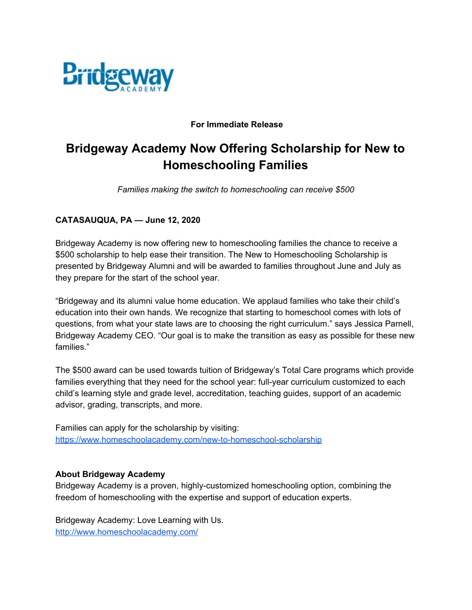

#### **For Immediate Release**

# **Bridgeway Academy Now Offering Scholarship for New to Homeschooling Families**

*Families making the switch to homeschooling can receive \$500*

### **CATASAUQUA, PA — June 12, 2020**

Bridgeway Academy is now offering new to homeschooling families the chance to receive a \$500 scholarship to help ease their transition. The New to Homeschooling Scholarship is presented by Bridgeway Alumni and will be awarded to families throughout June and July as they prepare for the start of the school year.

"Bridgeway and its alumni value home education. We applaud families who take their child's education into their own hands. We recognize that starting to homeschool comes with lots of questions, from what your state laws are to choosing the right curriculum." says Jessica Parnell, Bridgeway Academy CEO. "Our goal is to make the transition as easy as possible for these new families."

The \$500 award can be used towards tuition of Bridgeway's Total Care programs which provide families everything that they need for the school year: full-year curriculum customized to each child's learning style and grade level, accreditation, teaching guides, support of an academic advisor, grading, transcripts, and more.

Families can apply for the scholarship by visiting: <https://www.homeschoolacademy.com/new-to-homeschool-scholarship>

#### **About Bridgeway Academy**

Bridgeway Academy is a proven, highly-customized homeschooling option, combining the freedom of homeschooling with the expertise and support of education experts.

Bridgeway Academy: Love Learning with Us. <http://www.homeschoolacademy.com/>